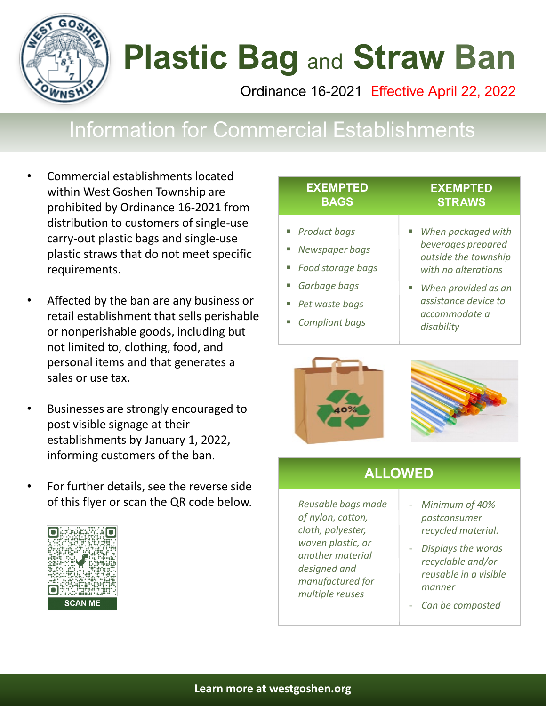

# **Plastic Bag** and **Straw Ban**

Ordinance 16-2021 Effective April 22, 2022

## Information for Commercial Establishments

- Commercial establishments located within West Goshen Township are prohibited by Ordinance 16-2021 from distribution to customers of single-use carry-out plastic bags and single-use plastic straws that do not meet specific requirements.
- Affected by the ban are any business or retail establishment that sells perishable or nonperishable goods, including but not limited to, clothing, food, and personal items and that generates a sales or use tax.
- Businesses are strongly encouraged to post visible signage at their establishments by January 1, 2022, informing customers of the ban.
- For further details, see the reverse side of this flyer or scan the QR code below. *Reusable bags made*



| ■ Product bags                                                                                 | When packaged with                                                                                                                              |
|------------------------------------------------------------------------------------------------|-------------------------------------------------------------------------------------------------------------------------------------------------|
| Newspaper bags<br>Food storage bags<br>Garbage bags<br>Pet waste bags<br><b>Compliant bags</b> | beverages prepared<br>outside the township<br>with no alterations<br>When provided as an<br>assistance device to<br>accommodate a<br>disability |





### **ALLOWED**

*of nylon, cotton, cloth, polyester, woven plastic, or another material designed and manufactured for multiple reuses*

- *Minimum of 40% postconsumer recycled material.*
- *Displays the words recyclable and/or reusable in a visible manner*
- *Can be composted*